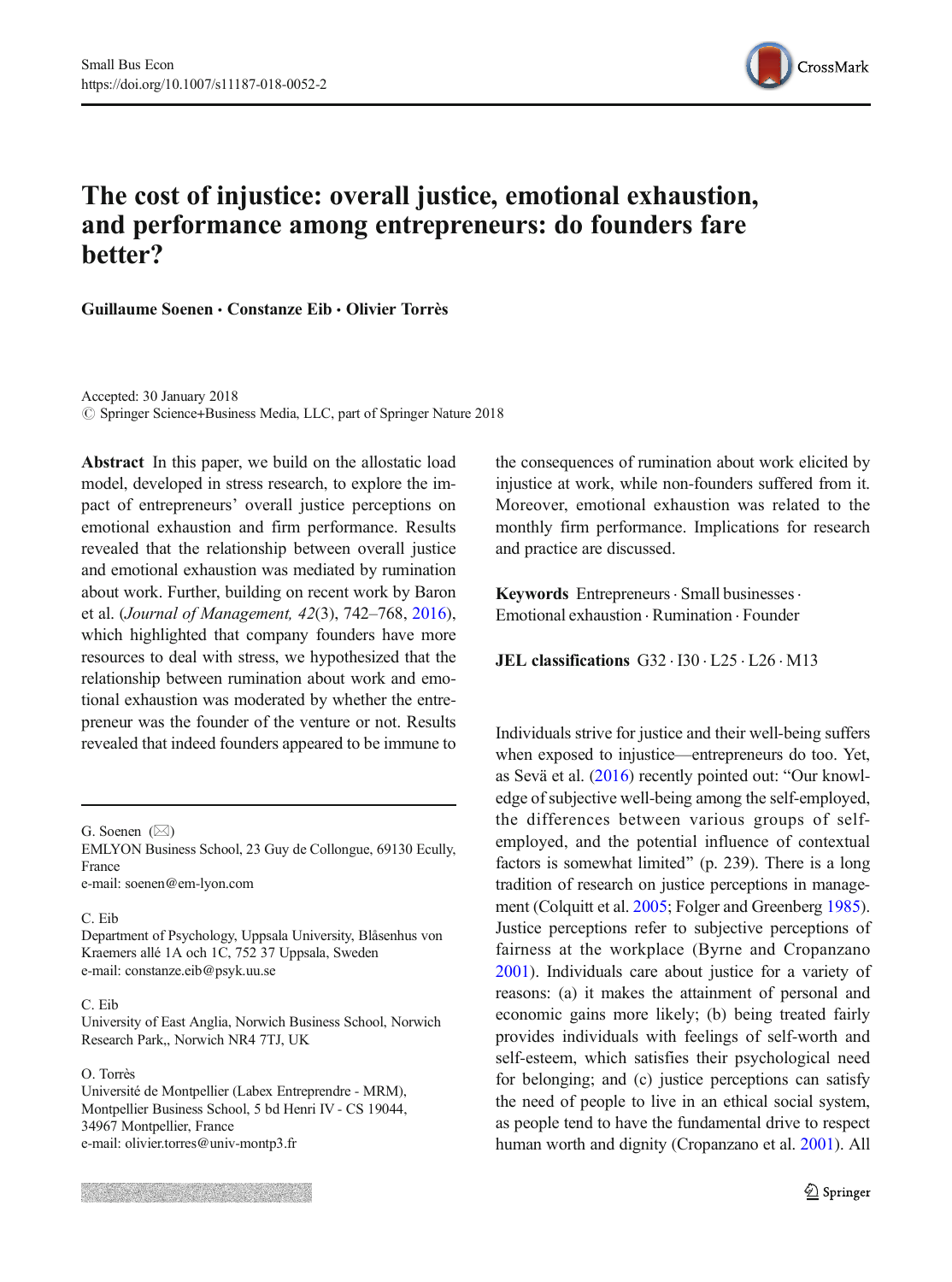

# The cost of injustice: overall justice, emotional exhaustion, and performance among entrepreneurs: do founders fare better?

Guillaume Soenen & Constanze Eib & Olivier Torrès

Accepted: 30 January 2018 © Springer Science+Business Media, LLC, part of Springer Nature 2018

Abstract In this paper, we build on the allostatic load model, developed in stress research, to explore the impact of entrepreneurs' overall justice perceptions on emotional exhaustion and firm performance. Results revealed that the relationship between overall justice and emotional exhaustion was mediated by rumination about work. Further, building on recent work by Baron et al. (Journal of Management, 42(3), 742–768, [2016\)](#page-10-0), which highlighted that company founders have more resources to deal with stress, we hypothesized that the relationship between rumination about work and emotional exhaustion was moderated by whether the entrepreneur was the founder of the venture or not. Results revealed that indeed founders appeared to be immune to

G. Soenen  $(\boxtimes)$ 

EMLYON Business School, 23 Guy de Collongue, 69130 Ecully, France e-mail: soenen@em-lyon.com

# C. Eib

Department of Psychology, Uppsala University, Blåsenhus von Kraemers allé 1A och 1C, 752 37 Uppsala, Sweden e-mail: constanze.eib@psyk.uu.se

#### C. Eib

University of East Anglia, Norwich Business School, Norwich Research Park,, Norwich NR4 7TJ, UK

#### O. Torrès

Université de Montpellier (Labex Entreprendre - MRM), Montpellier Business School, 5 bd Henri IV - CS 19044, 34967 Montpellier, France e-mail: olivier.torres@univ-montp3.fr

the consequences of rumination about work elicited by injustice at work, while non-founders suffered from it. Moreover, emotional exhaustion was related to the monthly firm performance. Implications for research and practice are discussed.

Keywords Entrepreneurs · Small businesses · Emotional exhaustion . Rumination . Founder

JEL classifications G32 . I30 . L25 . L26 . M13

Individuals strive for justice and their well-being suffers when exposed to injustice—entrepreneurs do too. Yet, as Sevä et al.  $(2016)$  $(2016)$  recently pointed out: "Our knowledge of subjective well-being among the self-employed, the differences between various groups of selfemployed, and the potential influence of contextual factors is somewhat limited^ (p. 239). There is a long tradition of research on justice perceptions in management (Colquitt et al. [2005;](#page-10-0) Folger and Greenberg [1985\)](#page-11-0). Justice perceptions refer to subjective perceptions of fairness at the workplace (Byrne and Cropanzano [2001](#page-10-0)). Individuals care about justice for a variety of reasons: (a) it makes the attainment of personal and economic gains more likely; (b) being treated fairly provides individuals with feelings of self-worth and self-esteem, which satisfies their psychological need for belonging; and (c) justice perceptions can satisfy the need of people to live in an ethical social system, as people tend to have the fundamental drive to respect human worth and dignity (Cropanzano et al. [2001\)](#page-10-0). All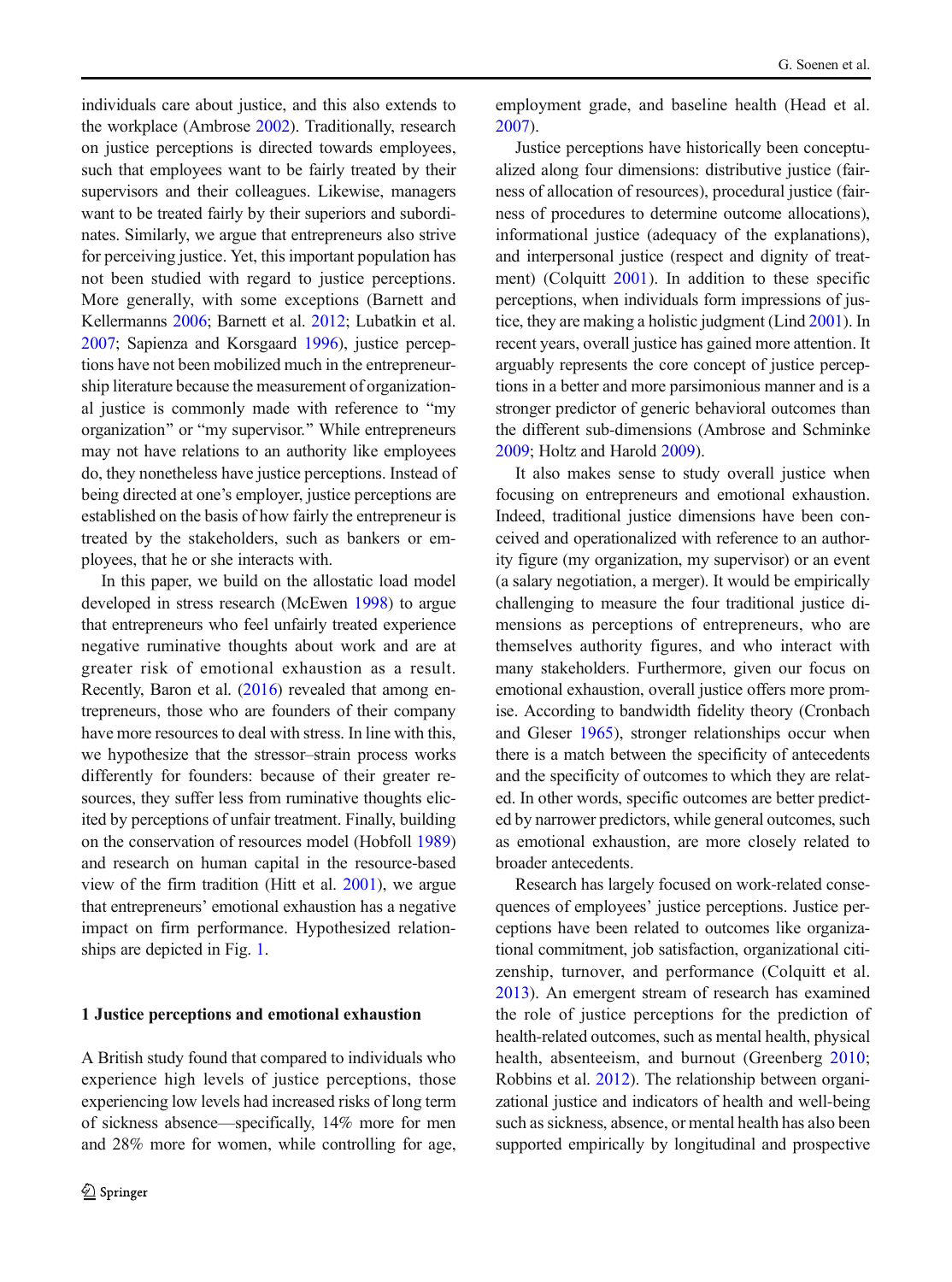individuals care about justice, and this also extends to the workplace (Ambrose [2002\)](#page-10-0). Traditionally, research on justice perceptions is directed towards employees, such that employees want to be fairly treated by their supervisors and their colleagues. Likewise, managers want to be treated fairly by their superiors and subordinates. Similarly, we argue that entrepreneurs also strive for perceiving justice. Yet, this important population has not been studied with regard to justice perceptions. More generally, with some exceptions (Barnett and Kellermanns [2006;](#page-10-0) Barnett et al. [2012;](#page-10-0) Lubatkin et al. [2007](#page-11-0); Sapienza and Korsgaard [1996](#page-12-0)), justice perceptions have not been mobilized much in the entrepreneurship literature because the measurement of organizational justice is commonly made with reference to "my organization" or "my supervisor." While entrepreneurs may not have relations to an authority like employees do, they nonetheless have justice perceptions. Instead of being directed at one's employer, justice perceptions are established on the basis of how fairly the entrepreneur is treated by the stakeholders, such as bankers or employees, that he or she interacts with.

In this paper, we build on the allostatic load model developed in stress research (McEwen [1998](#page-12-0)) to argue that entrepreneurs who feel unfairly treated experience negative ruminative thoughts about work and are at greater risk of emotional exhaustion as a result. Recently, Baron et al. ([2016](#page-10-0)) revealed that among entrepreneurs, those who are founders of their company have more resources to deal with stress. In line with this, we hypothesize that the stressor–strain process works differently for founders: because of their greater resources, they suffer less from ruminative thoughts elicited by perceptions of unfair treatment. Finally, building on the conservation of resources model (Hobfoll [1989\)](#page-11-0) and research on human capital in the resource-based view of the firm tradition (Hitt et al. [2001\)](#page-11-0), we argue that entrepreneurs' emotional exhaustion has a negative impact on firm performance. Hypothesized relationships are depicted in Fig. [1](#page-2-0).

#### 1 Justice perceptions and emotional exhaustion

A British study found that compared to individuals who experience high levels of justice perceptions, those experiencing low levels had increased risks of long term of sickness absence—specifically, 14% more for men and 28% more for women, while controlling for age, employment grade, and baseline health (Head et al. [2007](#page-11-0)).

Justice perceptions have historically been conceptualized along four dimensions: distributive justice (fairness of allocation of resources), procedural justice (fairness of procedures to determine outcome allocations), informational justice (adequacy of the explanations), and interpersonal justice (respect and dignity of treatment) (Colquitt [2001\)](#page-10-0). In addition to these specific perceptions, when individuals form impressions of justice, they are making a holistic judgment (Lind [2001\)](#page-11-0). In recent years, overall justice has gained more attention. It arguably represents the core concept of justice perceptions in a better and more parsimonious manner and is a stronger predictor of generic behavioral outcomes than the different sub-dimensions (Ambrose and Schminke [2009](#page-10-0); Holtz and Harold [2009\)](#page-11-0).

It also makes sense to study overall justice when focusing on entrepreneurs and emotional exhaustion. Indeed, traditional justice dimensions have been conceived and operationalized with reference to an authority figure (my organization, my supervisor) or an event (a salary negotiation, a merger). It would be empirically challenging to measure the four traditional justice dimensions as perceptions of entrepreneurs, who are themselves authority figures, and who interact with many stakeholders. Furthermore, given our focus on emotional exhaustion, overall justice offers more promise. According to bandwidth fidelity theory (Cronbach and Gleser [1965\)](#page-10-0), stronger relationships occur when there is a match between the specificity of antecedents and the specificity of outcomes to which they are related. In other words, specific outcomes are better predicted by narrower predictors, while general outcomes, such as emotional exhaustion, are more closely related to broader antecedents.

Research has largely focused on work-related consequences of employees' justice perceptions. Justice perceptions have been related to outcomes like organizational commitment, job satisfaction, organizational citizenship, turnover, and performance (Colquitt et al. [2013](#page-10-0)). An emergent stream of research has examined the role of justice perceptions for the prediction of health-related outcomes, such as mental health, physical health, absenteeism, and burnout (Greenberg [2010;](#page-11-0) Robbins et al. [2012](#page-12-0)). The relationship between organizational justice and indicators of health and well-being such as sickness, absence, or mental health has also been supported empirically by longitudinal and prospective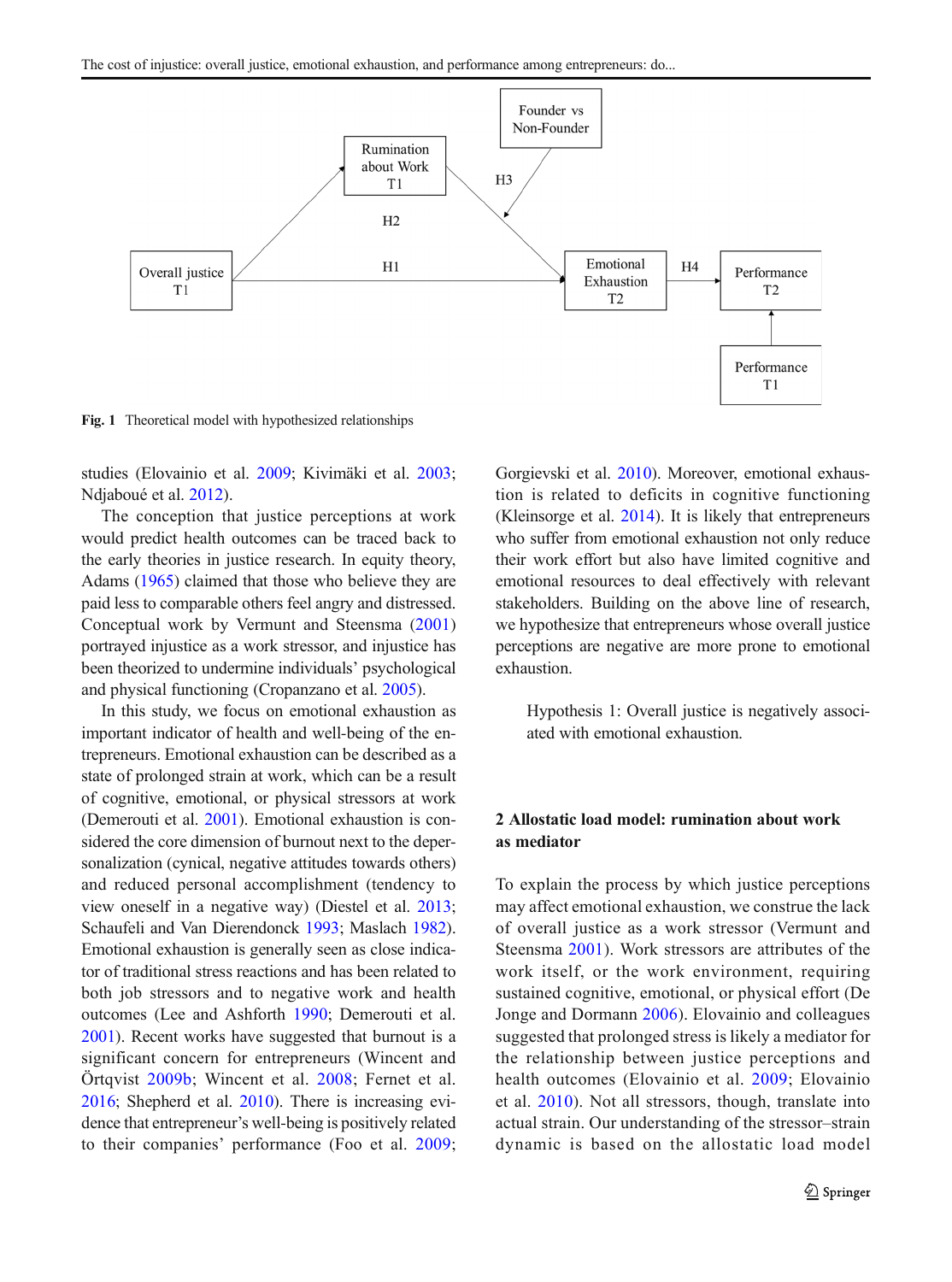<span id="page-2-0"></span>

Fig. 1 Theoretical model with hypothesized relationships

studies (Elovainio et al. [2009](#page-11-0); Kivimäki et al. [2003](#page-11-0); Ndjaboué et al. [2012](#page-12-0)).

The conception that justice perceptions at work would predict health outcomes can be traced back to the early theories in justice research. In equity theory, Adams [\(1965](#page-10-0)) claimed that those who believe they are paid less to comparable others feel angry and distressed. Conceptual work by Vermunt and Steensma ([2001\)](#page-12-0) portrayed injustice as a work stressor, and injustice has been theorized to undermine individuals' psychological and physical functioning (Cropanzano et al. [2005](#page-10-0)).

In this study, we focus on emotional exhaustion as important indicator of health and well-being of the entrepreneurs. Emotional exhaustion can be described as a state of prolonged strain at work, which can be a result of cognitive, emotional, or physical stressors at work (Demerouti et al. [2001](#page-10-0)). Emotional exhaustion is considered the core dimension of burnout next to the depersonalization (cynical, negative attitudes towards others) and reduced personal accomplishment (tendency to view oneself in a negative way) (Diestel et al. [2013](#page-10-0); Schaufeli and Van Dierendonck [1993](#page-12-0); Maslach [1982\)](#page-12-0). Emotional exhaustion is generally seen as close indicator of traditional stress reactions and has been related to both job stressors and to negative work and health outcomes (Lee and Ashforth [1990](#page-11-0); Demerouti et al. [2001](#page-10-0)). Recent works have suggested that burnout is a significant concern for entrepreneurs (Wincent and Örtqvist [2009b](#page-13-0); Wincent et al. [2008;](#page-13-0) Fernet et al. [2016](#page-11-0); Shepherd et al. [2010](#page-12-0)). There is increasing evidence that entrepreneur's well-being is positively related to their companies' performance (Foo et al. [2009](#page-11-0);

Gorgievski et al. [2010\)](#page-11-0). Moreover, emotional exhaustion is related to deficits in cognitive functioning (Kleinsorge et al. [2014](#page-11-0)). It is likely that entrepreneurs who suffer from emotional exhaustion not only reduce their work effort but also have limited cognitive and emotional resources to deal effectively with relevant stakeholders. Building on the above line of research, we hypothesize that entrepreneurs whose overall justice perceptions are negative are more prone to emotional exhaustion.

Hypothesis 1: Overall justice is negatively associated with emotional exhaustion.

# 2 Allostatic load model: rumination about work as mediator

To explain the process by which justice perceptions may affect emotional exhaustion, we construe the lack of overall justice as a work stressor (Vermunt and Steensma [2001](#page-12-0)). Work stressors are attributes of the work itself, or the work environment, requiring sustained cognitive, emotional, or physical effort (De Jonge and Dormann [2006\)](#page-10-0). Elovainio and colleagues suggested that prolonged stress is likely a mediator for the relationship between justice perceptions and health outcomes (Elovainio et al. [2009](#page-11-0); Elovainio et al. [2010\)](#page-11-0). Not all stressors, though, translate into actual strain. Our understanding of the stressor–strain dynamic is based on the allostatic load model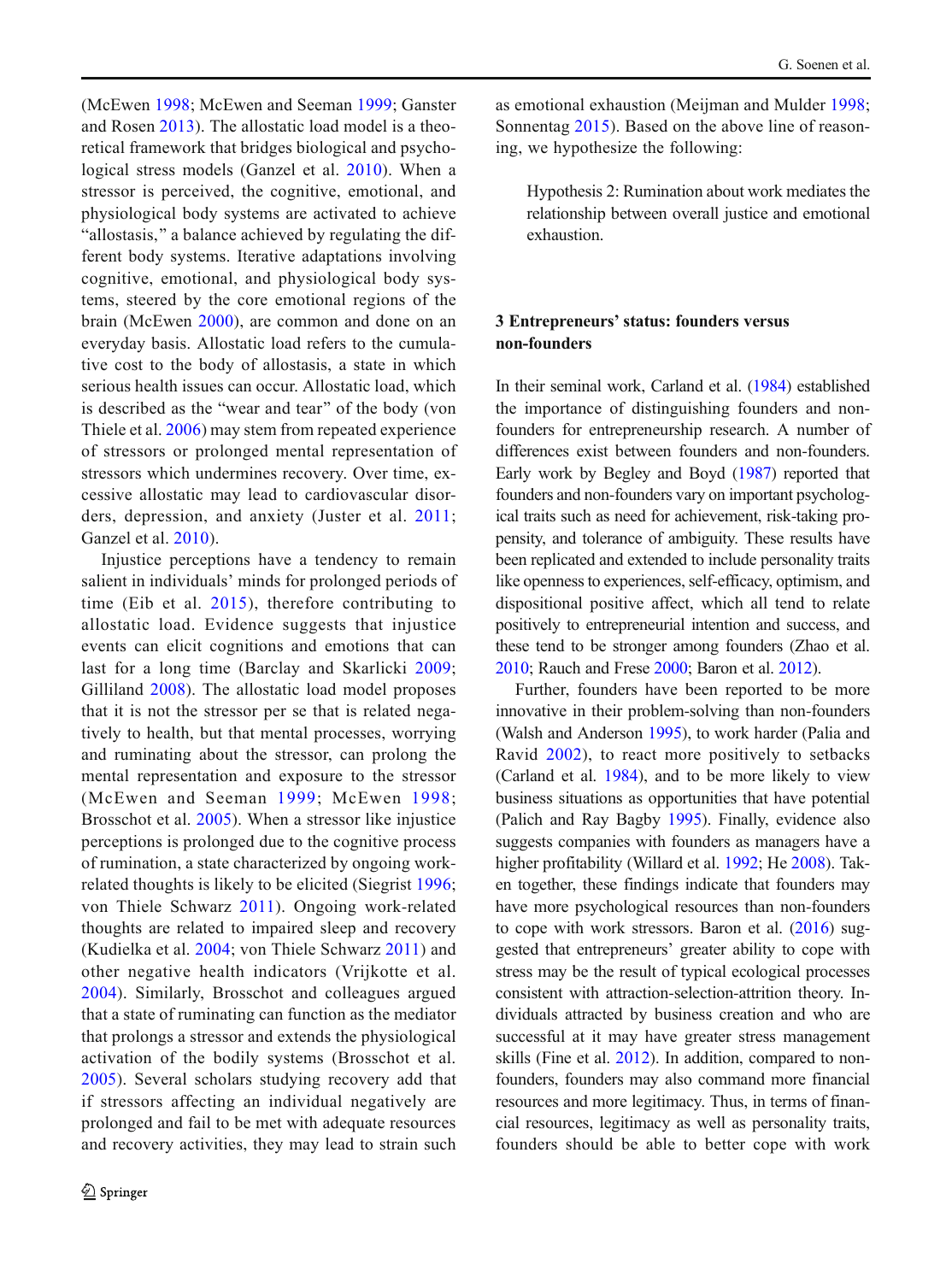(McEwen [1998](#page-12-0); McEwen and Seeman [1999;](#page-12-0) Ganster and Rosen [2013](#page-11-0)). The allostatic load model is a theoretical framework that bridges biological and psychological stress models (Ganzel et al. [2010\)](#page-11-0). When a stressor is perceived, the cognitive, emotional, and physiological body systems are activated to achieve "allostasis," a balance achieved by regulating the different body systems. Iterative adaptations involving cognitive, emotional, and physiological body systems, steered by the core emotional regions of the brain (McEwen [2000](#page-12-0)), are common and done on an everyday basis. Allostatic load refers to the cumulative cost to the body of allostasis, a state in which serious health issues can occur. Allostatic load, which is described as the "wear and tear" of the body (von Thiele et al. [2006\)](#page-12-0) may stem from repeated experience of stressors or prolonged mental representation of stressors which undermines recovery. Over time, excessive allostatic may lead to cardiovascular disorders, depression, and anxiety (Juster et al. [2011](#page-11-0); Ganzel et al. [2010](#page-11-0)).

Injustice perceptions have a tendency to remain salient in individuals' minds for prolonged periods of time (Eib et al. [2015\)](#page-11-0), therefore contributing to allostatic load. Evidence suggests that injustice events can elicit cognitions and emotions that can last for a long time (Barclay and Skarlicki [2009](#page-10-0); Gilliland [2008\)](#page-11-0). The allostatic load model proposes that it is not the stressor per se that is related negatively to health, but that mental processes, worrying and ruminating about the stressor, can prolong the mental representation and exposure to the stressor (McEwen and Seeman [1999](#page-12-0); McEwen [1998](#page-12-0); Brosschot et al. [2005](#page-10-0)). When a stressor like injustice perceptions is prolonged due to the cognitive process of rumination, a state characterized by ongoing workrelated thoughts is likely to be elicited (Siegrist [1996](#page-12-0); von Thiele Schwarz [2011](#page-12-0)). Ongoing work-related thoughts are related to impaired sleep and recovery (Kudielka et al. [2004;](#page-11-0) von Thiele Schwarz [2011\)](#page-12-0) and other negative health indicators (Vrijkotte et al. [2004](#page-12-0)). Similarly, Brosschot and colleagues argued that a state of ruminating can function as the mediator that prolongs a stressor and extends the physiological activation of the bodily systems (Brosschot et al. [2005](#page-10-0)). Several scholars studying recovery add that if stressors affecting an individual negatively are prolonged and fail to be met with adequate resources and recovery activities, they may lead to strain such

as emotional exhaustion (Meijman and Mulder [1998;](#page-12-0) Sonnentag [2015\)](#page-12-0). Based on the above line of reasoning, we hypothesize the following:

Hypothesis 2: Rumination about work mediates the relationship between overall justice and emotional exhaustion.

# 3 Entrepreneurs' status: founders versus non-founders

In their seminal work, Carland et al. ([1984\)](#page-10-0) established the importance of distinguishing founders and nonfounders for entrepreneurship research. A number of differences exist between founders and non-founders. Early work by Begley and Boyd [\(1987](#page-10-0)) reported that founders and non-founders vary on important psychological traits such as need for achievement, risk-taking propensity, and tolerance of ambiguity. These results have been replicated and extended to include personality traits like openness to experiences, self-efficacy, optimism, and dispositional positive affect, which all tend to relate positively to entrepreneurial intention and success, and these tend to be stronger among founders (Zhao et al. [2010](#page-13-0); Rauch and Frese [2000](#page-12-0); Baron et al. [2012\)](#page-10-0).

Further, founders have been reported to be more innovative in their problem-solving than non-founders (Walsh and Anderson [1995](#page-12-0)), to work harder (Palia and Ravid [2002\)](#page-12-0), to react more positively to setbacks (Carland et al. [1984\)](#page-10-0), and to be more likely to view business situations as opportunities that have potential (Palich and Ray Bagby [1995](#page-12-0)). Finally, evidence also suggests companies with founders as managers have a higher profitability (Willard et al. [1992;](#page-13-0) He [2008\)](#page-11-0). Taken together, these findings indicate that founders may have more psychological resources than non-founders to cope with work stressors. Baron et al. [\(2016\)](#page-10-0) suggested that entrepreneurs' greater ability to cope with stress may be the result of typical ecological processes consistent with attraction-selection-attrition theory. Individuals attracted by business creation and who are successful at it may have greater stress management skills (Fine et al. [2012\)](#page-11-0). In addition, compared to nonfounders, founders may also command more financial resources and more legitimacy. Thus, in terms of financial resources, legitimacy as well as personality traits, founders should be able to better cope with work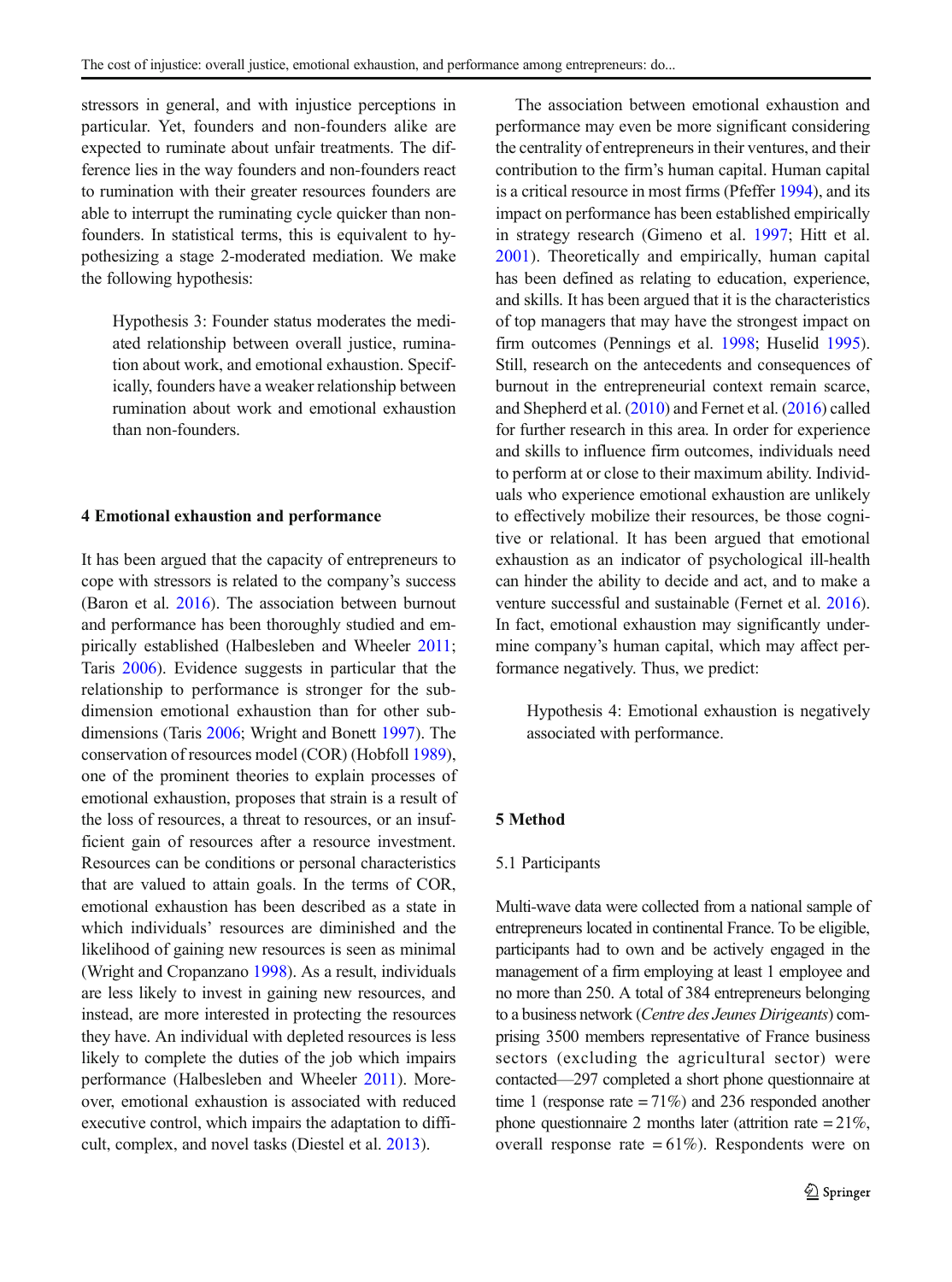stressors in general, and with injustice perceptions in particular. Yet, founders and non-founders alike are expected to ruminate about unfair treatments. The difference lies in the way founders and non-founders react to rumination with their greater resources founders are able to interrupt the ruminating cycle quicker than nonfounders. In statistical terms, this is equivalent to hypothesizing a stage 2-moderated mediation. We make the following hypothesis:

Hypothesis 3: Founder status moderates the mediated relationship between overall justice, rumination about work, and emotional exhaustion. Specifically, founders have a weaker relationship between rumination about work and emotional exhaustion than non-founders.

# 4 Emotional exhaustion and performance

It has been argued that the capacity of entrepreneurs to cope with stressors is related to the company's success (Baron et al. [2016\)](#page-10-0). The association between burnout and performance has been thoroughly studied and empirically established (Halbesleben and Wheeler [2011](#page-11-0); Taris [2006](#page-12-0)). Evidence suggests in particular that the relationship to performance is stronger for the subdimension emotional exhaustion than for other subdimensions (Taris [2006](#page-12-0); Wright and Bonett [1997\)](#page-13-0). The conservation of resources model (COR) (Hobfoll [1989\)](#page-11-0), one of the prominent theories to explain processes of emotional exhaustion, proposes that strain is a result of the loss of resources, a threat to resources, or an insufficient gain of resources after a resource investment. Resources can be conditions or personal characteristics that are valued to attain goals. In the terms of COR, emotional exhaustion has been described as a state in which individuals' resources are diminished and the likelihood of gaining new resources is seen as minimal (Wright and Cropanzano [1998\)](#page-13-0). As a result, individuals are less likely to invest in gaining new resources, and instead, are more interested in protecting the resources they have. An individual with depleted resources is less likely to complete the duties of the job which impairs performance (Halbesleben and Wheeler [2011](#page-11-0)). Moreover, emotional exhaustion is associated with reduced executive control, which impairs the adaptation to difficult, complex, and novel tasks (Diestel et al. [2013\)](#page-10-0).

The association between emotional exhaustion and performance may even be more significant considering the centrality of entrepreneurs in their ventures, and their contribution to the firm's human capital. Human capital is a critical resource in most firms (Pfeffer [1994](#page-12-0)), and its impact on performance has been established empirically in strategy research (Gimeno et al. [1997](#page-11-0); Hitt et al. [2001\)](#page-11-0). Theoretically and empirically, human capital has been defined as relating to education, experience, and skills. It has been argued that it is the characteristics of top managers that may have the strongest impact on firm outcomes (Pennings et al. [1998;](#page-12-0) Huselid [1995\)](#page-11-0). Still, research on the antecedents and consequences of burnout in the entrepreneurial context remain scarce, and Shepherd et al. [\(2010](#page-12-0)) and Fernet et al. ([2016](#page-11-0)) called for further research in this area. In order for experience and skills to influence firm outcomes, individuals need to perform at or close to their maximum ability. Individuals who experience emotional exhaustion are unlikely to effectively mobilize their resources, be those cognitive or relational. It has been argued that emotional exhaustion as an indicator of psychological ill-health can hinder the ability to decide and act, and to make a venture successful and sustainable (Fernet et al. [2016\)](#page-11-0). In fact, emotional exhaustion may significantly undermine company's human capital, which may affect performance negatively. Thus, we predict:

Hypothesis 4: Emotional exhaustion is negatively associated with performance.

#### 5 Method

## 5.1 Participants

Multi-wave data were collected from a national sample of entrepreneurs located in continental France. To be eligible, participants had to own and be actively engaged in the management of a firm employing at least 1 employee and no more than 250. A total of 384 entrepreneurs belonging to a business network (Centre des Jeunes Dirigeants) comprising 3500 members representative of France business sectors (excluding the agricultural sector) were contacted—297 completed a short phone questionnaire at time 1 (response rate  $= 71\%$ ) and 236 responded another phone questionnaire 2 months later (attrition rate = 21%, overall response rate  $= 61\%$ ). Respondents were on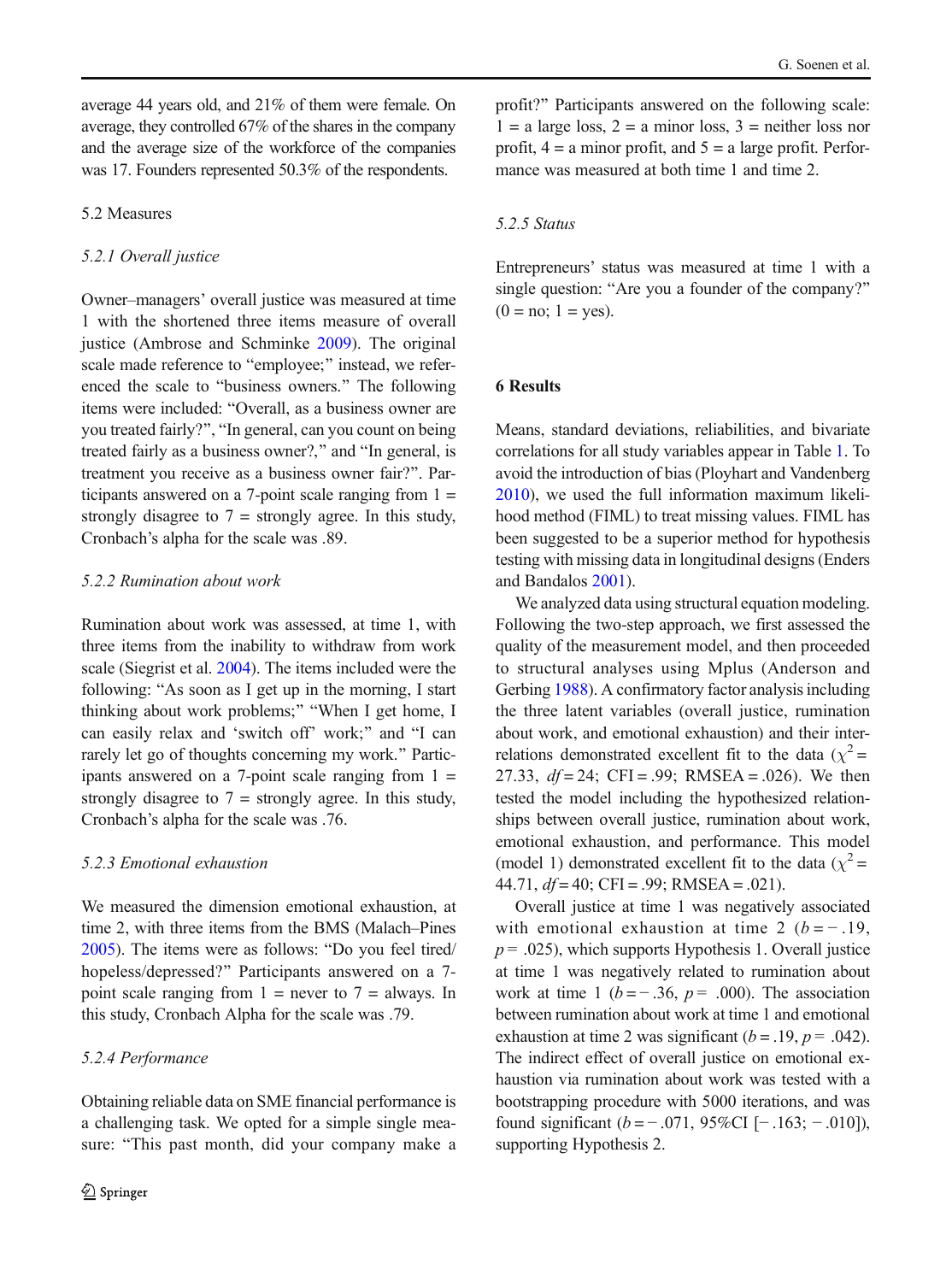average 44 years old, and 21% of them were female. On average, they controlled 67% of the shares in the company and the average size of the workforce of the companies was 17. Founders represented 50.3% of the respondents.

# 5.2 Measures

## 5.2.1 Overall justice

Owner–managers' overall justice was measured at time 1 with the shortened three items measure of overall justice (Ambrose and Schminke [2009](#page-10-0)). The original scale made reference to "employee;" instead, we referenced the scale to "business owners." The following items were included: "Overall, as a business owner are you treated fairly?", "In general, can you count on being treated fairly as a business owner?," and "In general, is treatment you receive as a business owner fair?^. Participants answered on a 7-point scale ranging from  $1 =$ strongly disagree to  $7 =$  strongly agree. In this study, Cronbach's alpha for the scale was .89.

### 5.2.2 Rumination about work

Rumination about work was assessed, at time 1, with three items from the inability to withdraw from work scale (Siegrist et al. [2004](#page-12-0)). The items included were the following: "As soon as I get up in the morning, I start thinking about work problems;" "When I get home, I can easily relax and 'switch off' work;" and "I can rarely let go of thoughts concerning my work." Participants answered on a 7-point scale ranging from  $1 =$ strongly disagree to  $7 =$  strongly agree. In this study, Cronbach's alpha for the scale was .76.

## 5.2.3 Emotional exhaustion

We measured the dimension emotional exhaustion, at time 2, with three items from the BMS (Malach–Pines  $2005$ ). The items were as follows: "Do you feel tired/ hopeless/depressed?" Participants answered on a 7point scale ranging from  $1 =$  never to  $7 =$  always. In this study, Cronbach Alpha for the scale was .79.

# 5.2.4 Performance

Obtaining reliable data on SME financial performance is a challenging task. We opted for a simple single measure: "This past month, did your company make a profit?^ Participants answered on the following scale:  $1 = a$  large loss,  $2 = a$  minor loss,  $3 =$  neither loss nor profit,  $4 = a$  minor profit, and  $5 = a$  large profit. Performance was measured at both time 1 and time 2.

# 5.2.5 Status

Entrepreneurs' status was measured at time 1 with a single question: "Are you a founder of the company?"  $(0 = no; 1 = yes).$ 

### 6 Results

Means, standard deviations, reliabilities, and bivariate correlations for all study variables appear in Table [1](#page-6-0). To avoid the introduction of bias (Ployhart and Vandenberg [2010](#page-12-0)), we used the full information maximum likelihood method (FIML) to treat missing values. FIML has been suggested to be a superior method for hypothesis testing with missing data in longitudinal designs (Enders and Bandalos [2001\)](#page-11-0).

We analyzed data using structural equation modeling. Following the two-step approach, we first assessed the quality of the measurement model, and then proceeded to structural analyses using Mplus (Anderson and Gerbing [1988](#page-10-0)). A confirmatory factor analysis including the three latent variables (overall justice, rumination about work, and emotional exhaustion) and their interrelations demonstrated excellent fit to the data ( $\chi^2$  = 27.33,  $df = 24$ ; CFI = .99; RMSEA = .026). We then tested the model including the hypothesized relationships between overall justice, rumination about work, emotional exhaustion, and performance. This model (model 1) demonstrated excellent fit to the data ( $\chi^2$  = 44.71,  $df = 40$ ; CFI = .99; RMSEA = .021).

Overall justice at time 1 was negatively associated with emotional exhaustion at time 2  $(b = -0.19)$ ,  $p = .025$ , which supports Hypothesis 1. Overall justice at time 1 was negatively related to rumination about work at time 1 ( $b = -.36$ ,  $p = .000$ ). The association between rumination about work at time 1 and emotional exhaustion at time 2 was significant  $(b = .19, p = .042)$ . The indirect effect of overall justice on emotional exhaustion via rumination about work was tested with a bootstrapping procedure with 5000 iterations, and was found significant  $(b = -.071, 95\%$ CI [− .163; − .010]), supporting Hypothesis 2.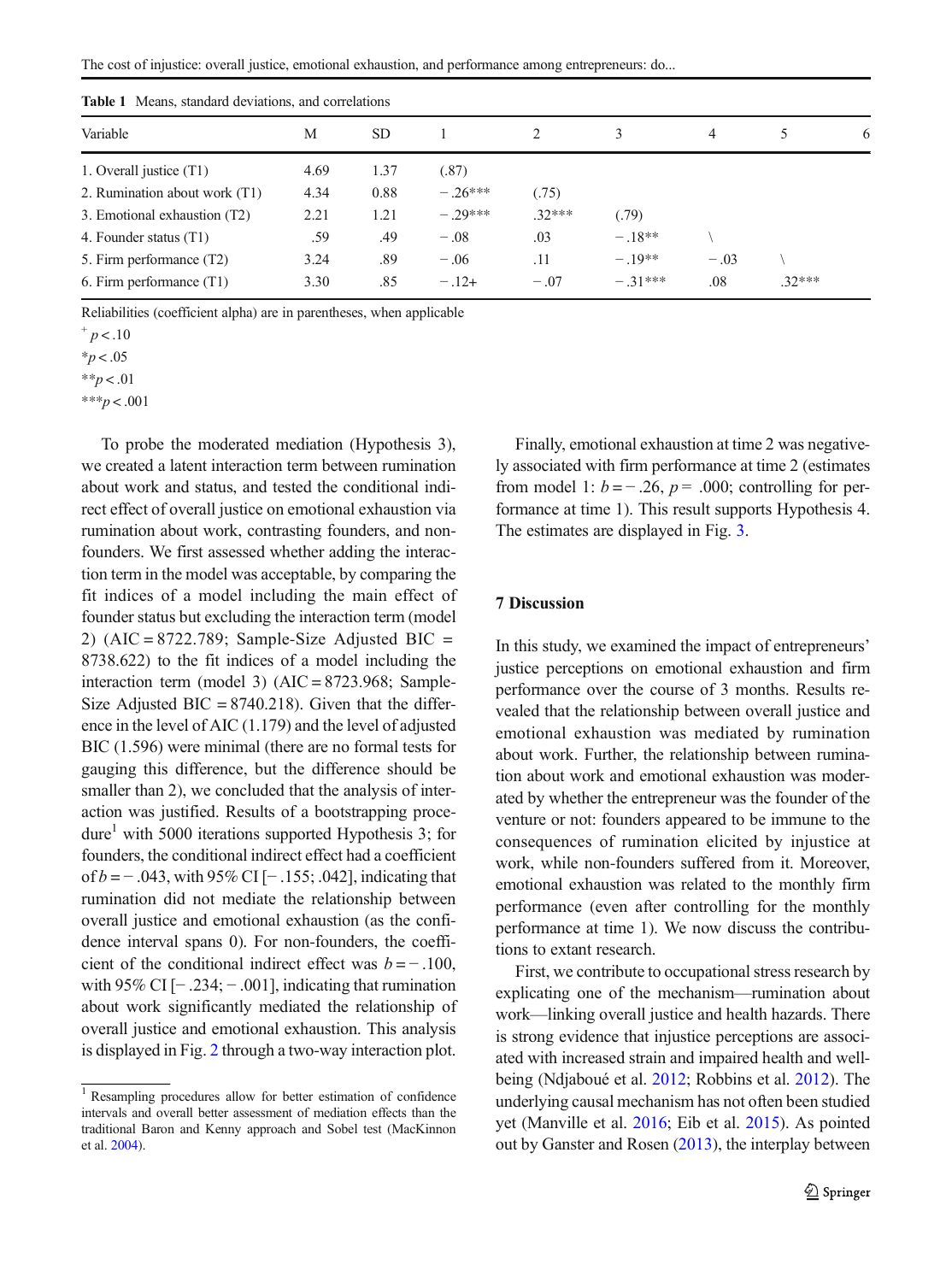<span id="page-6-0"></span>The cost of injustice: overall justice, emotional exhaustion, and performance among entrepreneurs: do...

| <b>Table 1</b> Means, standard deviations, and correlations |      |           |           |          |           |        |          |   |
|-------------------------------------------------------------|------|-----------|-----------|----------|-----------|--------|----------|---|
| Variable                                                    | М    | <b>SD</b> |           |          |           | 4      |          | 6 |
| 1. Overall justice (T1)                                     | 4.69 | 1.37      | (.87)     |          |           |        |          |   |
| 2. Rumination about work (T1)                               | 4.34 | 0.88      | $-.26***$ | (.75)    |           |        |          |   |
| 3. Emotional exhaustion (T2)                                | 2.21 | 1.21      | $-.29***$ | $.32***$ | (.79)     |        |          |   |
| 4. Founder status (T1)                                      | .59  | .49       | $-.08$    | .03      | $-.18**$  |        |          |   |
| 5. Firm performance (T2)                                    | 3.24 | .89       | $-.06$    | .11      | $-.19**$  | $-.03$ |          |   |
| 6. Firm performance $(T1)$                                  | 3.30 | .85       | $-.12+$   | $-.07$   | $-.31***$ | .08    | $.32***$ |   |

Table 1 Means, standard deviations, and correlations

Reliabilities (coefficient alpha) are in parentheses, when applicable

 $*_{p}$  < .05

 $* p < .01$ 

\*\*\*p < .001

To probe the moderated mediation (Hypothesis 3), we created a latent interaction term between rumination about work and status, and tested the conditional indirect effect of overall justice on emotional exhaustion via rumination about work, contrasting founders, and nonfounders. We first assessed whether adding the interaction term in the model was acceptable, by comparing the fit indices of a model including the main effect of founder status but excluding the interaction term (model 2) ( $AIC = 8722.789$ ; Sample-Size Adjusted BIC = 8738.622) to the fit indices of a model including the interaction term (model 3)  $(AIC = 8723.968;$  Sample-Size Adjusted BIC =  $8740.218$ ). Given that the difference in the level of AIC (1.179) and the level of adjusted BIC (1.596) were minimal (there are no formal tests for gauging this difference, but the difference should be smaller than 2), we concluded that the analysis of interaction was justified. Results of a bootstrapping procedure<sup>1</sup> with 5000 iterations supported Hypothesis 3; for founders, the conditional indirect effect had a coefficient of b = − .043, with 95% CI [− .155; .042], indicating that rumination did not mediate the relationship between overall justice and emotional exhaustion (as the confidence interval spans 0). For non-founders, the coefficient of the conditional indirect effect was  $b = -100$ , with 95% CI  $[-.234; -.001]$ , indicating that rumination about work significantly mediated the relationship of overall justice and emotional exhaustion. This analysis is displayed in Fig. [2](#page-7-0) through a two-way interaction plot.

Finally, emotional exhaustion at time 2 was negatively associated with firm performance at time 2 (estimates from model 1:  $b = -.26$ ,  $p = .000$ ; controlling for performance at time 1). This result supports Hypothesis 4. The estimates are displayed in Fig. [3](#page-7-0).

### 7 Discussion

In this study, we examined the impact of entrepreneurs' justice perceptions on emotional exhaustion and firm performance over the course of 3 months. Results revealed that the relationship between overall justice and emotional exhaustion was mediated by rumination about work. Further, the relationship between rumination about work and emotional exhaustion was moderated by whether the entrepreneur was the founder of the venture or not: founders appeared to be immune to the consequences of rumination elicited by injustice at work, while non-founders suffered from it. Moreover, emotional exhaustion was related to the monthly firm performance (even after controlling for the monthly performance at time 1). We now discuss the contributions to extant research.

First, we contribute to occupational stress research by explicating one of the mechanism—rumination about work—linking overall justice and health hazards. There is strong evidence that injustice perceptions are associated with increased strain and impaired health and wellbeing (Ndjaboué et al. [2012](#page-12-0); Robbins et al. [2012\)](#page-12-0). The underlying causal mechanism has not often been studied yet (Manville et al. [2016](#page-12-0); Eib et al. [2015](#page-11-0)). As pointed out by Ganster and Rosen [\(2013\)](#page-11-0), the interplay between

 $^+p<.10$ 

<sup>1</sup> Resampling procedures allow for better estimation of confidence intervals and overall better assessment of mediation effects than the traditional Baron and Kenny approach and Sobel test (MacKinnon et al. [2004](#page-12-0)).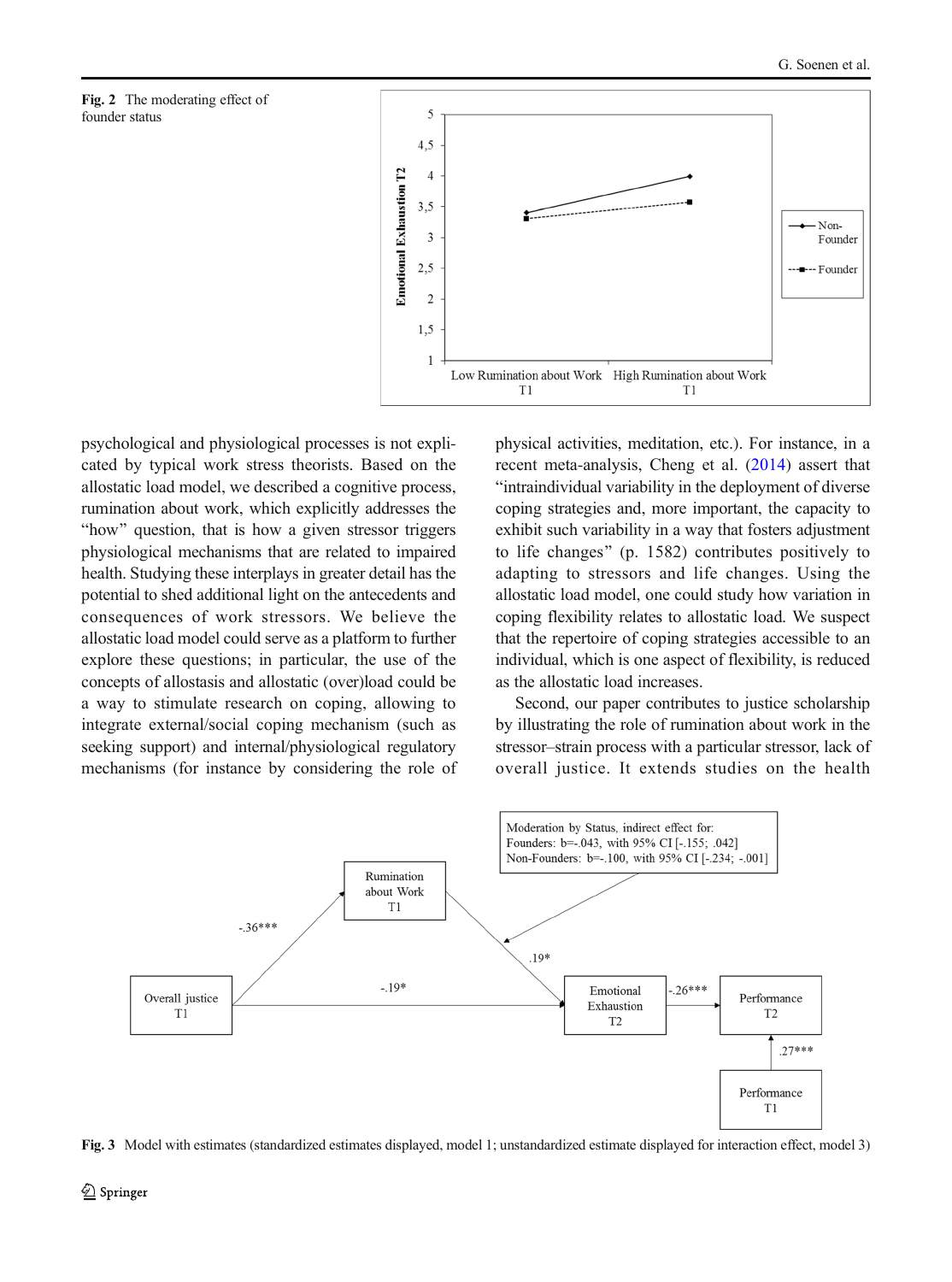<span id="page-7-0"></span>



psychological and physiological processes is not explicated by typical work stress theorists. Based on the allostatic load model, we described a cognitive process, rumination about work, which explicitly addresses the "how" question, that is how a given stressor triggers physiological mechanisms that are related to impaired health. Studying these interplays in greater detail has the potential to shed additional light on the antecedents and consequences of work stressors. We believe the allostatic load model could serve as a platform to further explore these questions; in particular, the use of the concepts of allostasis and allostatic (over)load could be a way to stimulate research on coping, allowing to integrate external/social coping mechanism (such as seeking support) and internal/physiological regulatory mechanisms (for instance by considering the role of physical activities, meditation, etc.). For instance, in a recent meta-analysis, Cheng et al. ([2014\)](#page-10-0) assert that Bintraindividual variability in the deployment of diverse coping strategies and, more important, the capacity to exhibit such variability in a way that fosters adjustment to life changes^ (p. 1582) contributes positively to adapting to stressors and life changes. Using the allostatic load model, one could study how variation in coping flexibility relates to allostatic load. We suspect that the repertoire of coping strategies accessible to an individual, which is one aspect of flexibility, is reduced as the allostatic load increases.

Second, our paper contributes to justice scholarship by illustrating the role of rumination about work in the stressor–strain process with a particular stressor, lack of overall justice. It extends studies on the health



Fig. 3 Model with estimates (standardized estimates displayed, model 1; unstandardized estimate displayed for interaction effect, model 3)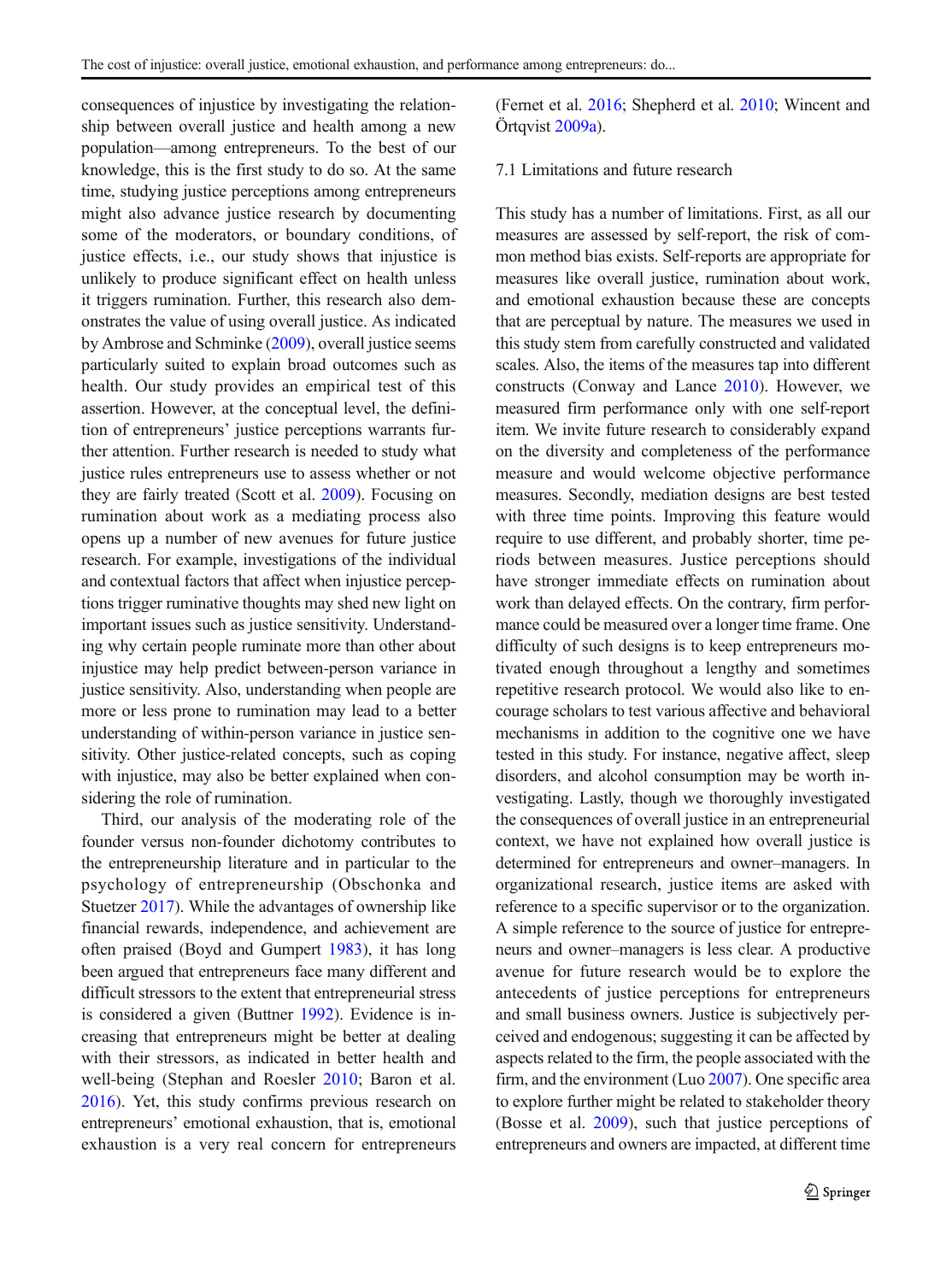consequences of injustice by investigating the relationship between overall justice and health among a new population—among entrepreneurs. To the best of our knowledge, this is the first study to do so. At the same time, studying justice perceptions among entrepreneurs might also advance justice research by documenting some of the moderators, or boundary conditions, of justice effects, i.e., our study shows that injustice is unlikely to produce significant effect on health unless it triggers rumination. Further, this research also demonstrates the value of using overall justice. As indicated by Ambrose and Schminke ([2009](#page-10-0)), overall justice seems particularly suited to explain broad outcomes such as health. Our study provides an empirical test of this assertion. However, at the conceptual level, the definition of entrepreneurs' justice perceptions warrants further attention. Further research is needed to study what justice rules entrepreneurs use to assess whether or not they are fairly treated (Scott et al. [2009](#page-12-0)). Focusing on rumination about work as a mediating process also opens up a number of new avenues for future justice research. For example, investigations of the individual and contextual factors that affect when injustice perceptions trigger ruminative thoughts may shed new light on important issues such as justice sensitivity. Understanding why certain people ruminate more than other about injustice may help predict between-person variance in justice sensitivity. Also, understanding when people are more or less prone to rumination may lead to a better understanding of within-person variance in justice sensitivity. Other justice-related concepts, such as coping with injustice, may also be better explained when considering the role of rumination.

Third, our analysis of the moderating role of the founder versus non-founder dichotomy contributes to the entrepreneurship literature and in particular to the psychology of entrepreneurship (Obschonka and Stuetzer [2017](#page-12-0)). While the advantages of ownership like financial rewards, independence, and achievement are often praised (Boyd and Gumpert [1983](#page-10-0)), it has long been argued that entrepreneurs face many different and difficult stressors to the extent that entrepreneurial stress is considered a given (Buttner [1992\)](#page-10-0). Evidence is increasing that entrepreneurs might be better at dealing with their stressors, as indicated in better health and well-being (Stephan and Roesler [2010;](#page-12-0) Baron et al. [2016](#page-10-0)). Yet, this study confirms previous research on entrepreneurs' emotional exhaustion, that is, emotional exhaustion is a very real concern for entrepreneurs

(Fernet et al. [2016;](#page-11-0) Shepherd et al. [2010;](#page-12-0) Wincent and Örtqvist [2009a\)](#page-13-0).

#### 7.1 Limitations and future research

This study has a number of limitations. First, as all our measures are assessed by self-report, the risk of common method bias exists. Self-reports are appropriate for measures like overall justice, rumination about work, and emotional exhaustion because these are concepts that are perceptual by nature. The measures we used in this study stem from carefully constructed and validated scales. Also, the items of the measures tap into different constructs (Conway and Lance [2010](#page-10-0)). However, we measured firm performance only with one self-report item. We invite future research to considerably expand on the diversity and completeness of the performance measure and would welcome objective performance measures. Secondly, mediation designs are best tested with three time points. Improving this feature would require to use different, and probably shorter, time periods between measures. Justice perceptions should have stronger immediate effects on rumination about work than delayed effects. On the contrary, firm performance could be measured over a longer time frame. One difficulty of such designs is to keep entrepreneurs motivated enough throughout a lengthy and sometimes repetitive research protocol. We would also like to encourage scholars to test various affective and behavioral mechanisms in addition to the cognitive one we have tested in this study. For instance, negative affect, sleep disorders, and alcohol consumption may be worth investigating. Lastly, though we thoroughly investigated the consequences of overall justice in an entrepreneurial context, we have not explained how overall justice is determined for entrepreneurs and owner–managers. In organizational research, justice items are asked with reference to a specific supervisor or to the organization. A simple reference to the source of justice for entrepreneurs and owner–managers is less clear. A productive avenue for future research would be to explore the antecedents of justice perceptions for entrepreneurs and small business owners. Justice is subjectively perceived and endogenous; suggesting it can be affected by aspects related to the firm, the people associated with the firm, and the environment (Luo [2007\)](#page-12-0). One specific area to explore further might be related to stakeholder theory (Bosse et al. [2009](#page-10-0)), such that justice perceptions of entrepreneurs and owners are impacted, at different time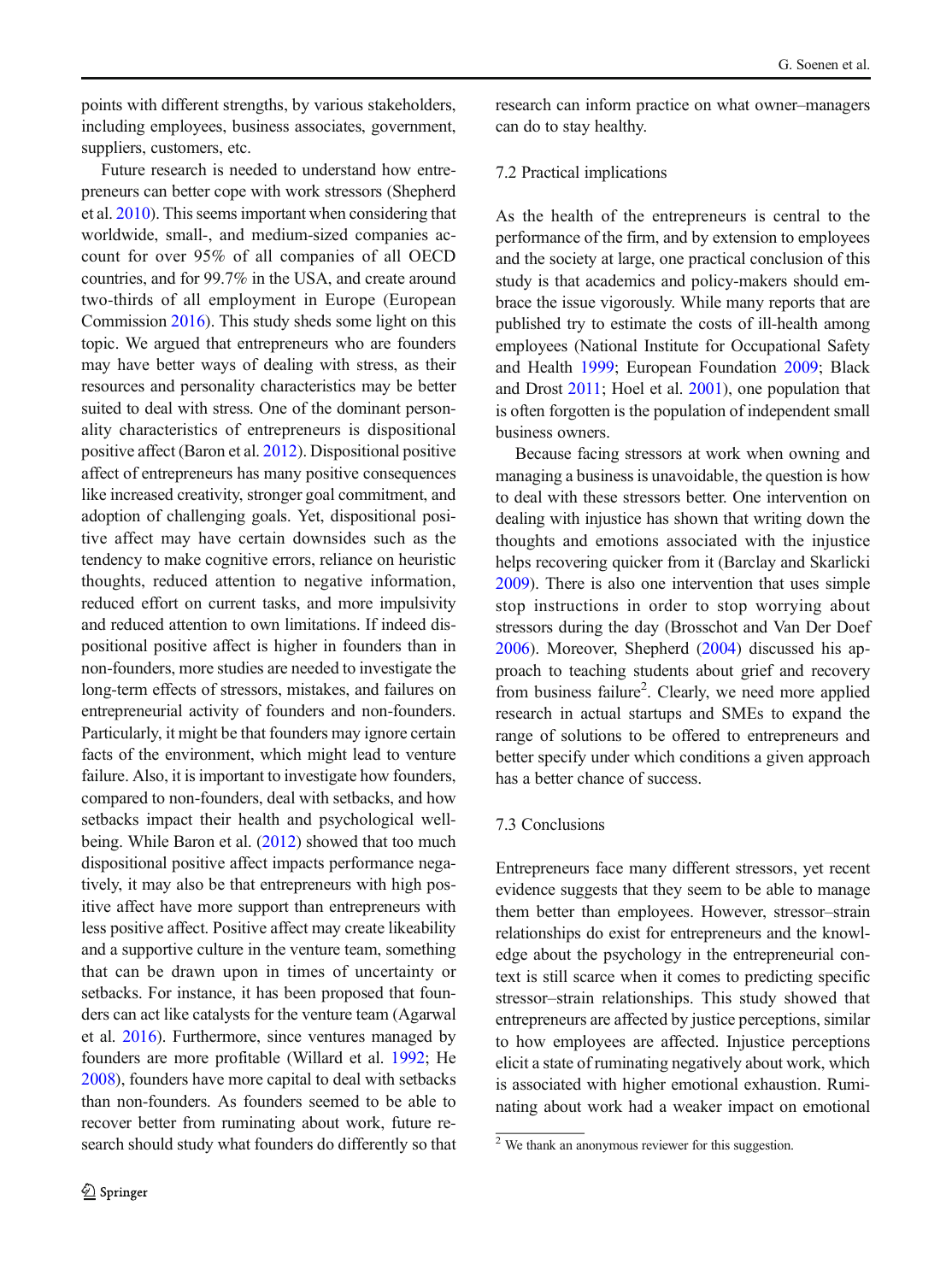points with different strengths, by various stakeholders, including employees, business associates, government, suppliers, customers, etc.

Future research is needed to understand how entrepreneurs can better cope with work stressors (Shepherd et al. [2010](#page-12-0)). This seems important when considering that worldwide, small-, and medium-sized companies account for over 95% of all companies of all OECD countries, and for 99.7% in the USA, and create around two-thirds of all employment in Europe (European Commission [2016\)](#page-11-0). This study sheds some light on this topic. We argued that entrepreneurs who are founders may have better ways of dealing with stress, as their resources and personality characteristics may be better suited to deal with stress. One of the dominant personality characteristics of entrepreneurs is dispositional positive affect (Baron et al. [2012\)](#page-10-0). Dispositional positive affect of entrepreneurs has many positive consequences like increased creativity, stronger goal commitment, and adoption of challenging goals. Yet, dispositional positive affect may have certain downsides such as the tendency to make cognitive errors, reliance on heuristic thoughts, reduced attention to negative information, reduced effort on current tasks, and more impulsivity and reduced attention to own limitations. If indeed dispositional positive affect is higher in founders than in non-founders, more studies are needed to investigate the long-term effects of stressors, mistakes, and failures on entrepreneurial activity of founders and non-founders. Particularly, it might be that founders may ignore certain facts of the environment, which might lead to venture failure. Also, it is important to investigate how founders, compared to non-founders, deal with setbacks, and how setbacks impact their health and psychological wellbeing. While Baron et al. ([2012](#page-10-0)) showed that too much dispositional positive affect impacts performance negatively, it may also be that entrepreneurs with high positive affect have more support than entrepreneurs with less positive affect. Positive affect may create likeability and a supportive culture in the venture team, something that can be drawn upon in times of uncertainty or setbacks. For instance, it has been proposed that founders can act like catalysts for the venture team (Agarwal et al. [2016\)](#page-10-0). Furthermore, since ventures managed by founders are more profitable (Willard et al. [1992](#page-13-0); He [2008](#page-11-0)), founders have more capital to deal with setbacks than non-founders. As founders seemed to be able to recover better from ruminating about work, future research should study what founders do differently so that research can inform practice on what owner–managers can do to stay healthy.

#### 7.2 Practical implications

As the health of the entrepreneurs is central to the performance of the firm, and by extension to employees and the society at large, one practical conclusion of this study is that academics and policy-makers should embrace the issue vigorously. While many reports that are published try to estimate the costs of ill-health among employees (National Institute for Occupational Safety and Health [1999](#page-12-0); European Foundation [2009;](#page-11-0) Black and Drost [2011;](#page-10-0) Hoel et al. [2001\)](#page-11-0), one population that is often forgotten is the population of independent small business owners.

Because facing stressors at work when owning and managing a business is unavoidable, the question is how to deal with these stressors better. One intervention on dealing with injustice has shown that writing down the thoughts and emotions associated with the injustice helps recovering quicker from it (Barclay and Skarlicki [2009](#page-10-0)). There is also one intervention that uses simple stop instructions in order to stop worrying about stressors during the day (Brosschot and Van Der Doef [2006\)](#page-10-0). Moreover, Shepherd ([2004](#page-12-0)) discussed his approach to teaching students about grief and recovery from business failure<sup>2</sup>. Clearly, we need more applied research in actual startups and SMEs to expand the range of solutions to be offered to entrepreneurs and better specify under which conditions a given approach has a better chance of success.

#### 7.3 Conclusions

Entrepreneurs face many different stressors, yet recent evidence suggests that they seem to be able to manage them better than employees. However, stressor–strain relationships do exist for entrepreneurs and the knowledge about the psychology in the entrepreneurial context is still scarce when it comes to predicting specific stressor–strain relationships. This study showed that entrepreneurs are affected by justice perceptions, similar to how employees are affected. Injustice perceptions elicit a state of ruminating negatively about work, which is associated with higher emotional exhaustion. Ruminating about work had a weaker impact on emotional

 $\frac{2}{2}$  We thank an anonymous reviewer for this suggestion.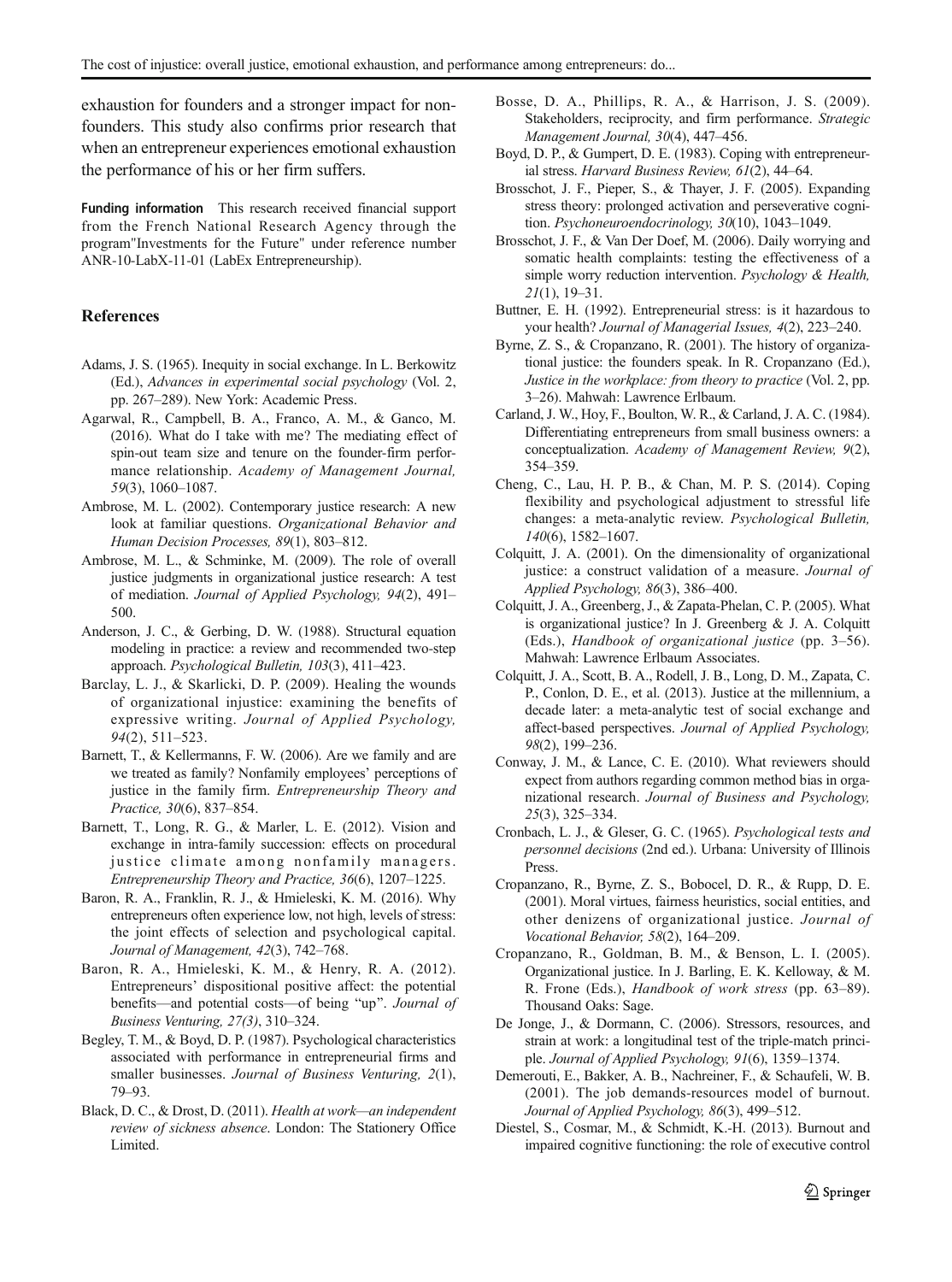<span id="page-10-0"></span>exhaustion for founders and a stronger impact for nonfounders. This study also confirms prior research that when an entrepreneur experiences emotional exhaustion the performance of his or her firm suffers.

Funding information This research received financial support from the French National Research Agency through the program"Investments for the Future" under reference number ANR-10-LabX-11-01 (LabEx Entrepreneurship).

#### References

- Adams, J. S. (1965). Inequity in social exchange. In L. Berkowitz (Ed.), Advances in experimental social psychology (Vol. 2, pp. 267–289). New York: Academic Press.
- Agarwal, R., Campbell, B. A., Franco, A. M., & Ganco, M. (2016). What do I take with me? The mediating effect of spin-out team size and tenure on the founder-firm performance relationship. Academy of Management Journal, 59(3), 1060–1087.
- Ambrose, M. L. (2002). Contemporary justice research: A new look at familiar questions. Organizational Behavior and Human Decision Processes, 89(1), 803–812.
- Ambrose, M. L., & Schminke, M. (2009). The role of overall justice judgments in organizational justice research: A test of mediation. Journal of Applied Psychology, 94(2), 491– 500.
- Anderson, J. C., & Gerbing, D. W. (1988). Structural equation modeling in practice: a review and recommended two-step approach. Psychological Bulletin, 103(3), 411–423.
- Barclay, L. J., & Skarlicki, D. P. (2009). Healing the wounds of organizational injustice: examining the benefits of expressive writing. Journal of Applied Psychology, 94(2), 511–523.
- Barnett, T., & Kellermanns, F. W. (2006). Are we family and are we treated as family? Nonfamily employees' perceptions of justice in the family firm. Entrepreneurship Theory and Practice, 30(6), 837–854.
- Barnett, T., Long, R. G., & Marler, L. E. (2012). Vision and exchange in intra-family succession: effects on procedural justice climate among nonfamily managers. Entrepreneurship Theory and Practice, 36(6), 1207–1225.
- Baron, R. A., Franklin, R. J., & Hmieleski, K. M. (2016). Why entrepreneurs often experience low, not high, levels of stress: the joint effects of selection and psychological capital. Journal of Management, 42(3), 742–768.
- Baron, R. A., Hmieleski, K. M., & Henry, R. A. (2012). Entrepreneurs' dispositional positive affect: the potential benefits—and potential costs—of being "up". Journal of Business Venturing, 27(3), 310–324.
- Begley, T. M., & Boyd, D. P. (1987). Psychological characteristics associated with performance in entrepreneurial firms and smaller businesses. Journal of Business Venturing, 2(1), 79–93.
- Black, D. C., & Drost, D. (2011). Health at work—an independent review of sickness absence. London: The Stationery Office Limited.
- Bosse, D. A., Phillips, R. A., & Harrison, J. S. (2009). Stakeholders, reciprocity, and firm performance. Strategic Management Journal, 30(4), 447–456.
- Boyd, D. P., & Gumpert, D. E. (1983). Coping with entrepreneurial stress. Harvard Business Review, 61(2), 44–64.
- Brosschot, J. F., Pieper, S., & Thayer, J. F. (2005). Expanding stress theory: prolonged activation and perseverative cognition. Psychoneuroendocrinology, 30(10), 1043–1049.
- Brosschot, J. F., & Van Der Doef, M. (2006). Daily worrying and somatic health complaints: testing the effectiveness of a simple worry reduction intervention. Psychology & Health, 21(1), 19–31.
- Buttner, E. H. (1992). Entrepreneurial stress: is it hazardous to your health? Journal of Managerial Issues, 4(2), 223–240.
- Byrne, Z. S., & Cropanzano, R. (2001). The history of organizational justice: the founders speak. In R. Cropanzano (Ed.), Justice in the workplace: from theory to practice (Vol. 2, pp. 3–26). Mahwah: Lawrence Erlbaum.
- Carland, J. W., Hoy, F., Boulton, W. R., & Carland, J. A. C. (1984). Differentiating entrepreneurs from small business owners: a conceptualization. Academy of Management Review, 9(2), 354–359.
- Cheng, C., Lau, H. P. B., & Chan, M. P. S. (2014). Coping flexibility and psychological adjustment to stressful life changes: a meta-analytic review. Psychological Bulletin, 140(6), 1582–1607.
- Colquitt, J. A. (2001). On the dimensionality of organizational justice: a construct validation of a measure. Journal of Applied Psychology, 86(3), 386–400.
- Colquitt, J. A., Greenberg, J., & Zapata-Phelan, C. P. (2005). What is organizational justice? In J. Greenberg & J. A. Colquitt (Eds.), Handbook of organizational justice (pp. 3–56). Mahwah: Lawrence Erlbaum Associates.
- Colquitt, J. A., Scott, B. A., Rodell, J. B., Long, D. M., Zapata, C. P., Conlon, D. E., et al. (2013). Justice at the millennium, a decade later: a meta-analytic test of social exchange and affect-based perspectives. Journal of Applied Psychology, 98(2), 199–236.
- Conway, J. M., & Lance, C. E. (2010). What reviewers should expect from authors regarding common method bias in organizational research. Journal of Business and Psychology, 25(3), 325–334.
- Cronbach, L. J., & Gleser, G. C. (1965). Psychological tests and personnel decisions (2nd ed.). Urbana: University of Illinois Press.
- Cropanzano, R., Byrne, Z. S., Bobocel, D. R., & Rupp, D. E. (2001). Moral virtues, fairness heuristics, social entities, and other denizens of organizational justice. Journal of Vocational Behavior, 58(2), 164–209.
- Cropanzano, R., Goldman, B. M., & Benson, L. I. (2005). Organizational justice. In J. Barling, E. K. Kelloway, & M. R. Frone (Eds.), Handbook of work stress (pp. 63–89). Thousand Oaks: Sage.
- De Jonge, J., & Dormann, C. (2006). Stressors, resources, and strain at work: a longitudinal test of the triple-match principle. Journal of Applied Psychology, 91(6), 1359–1374.
- Demerouti, E., Bakker, A. B., Nachreiner, F., & Schaufeli, W. B. (2001). The job demands-resources model of burnout. Journal of Applied Psychology, 86(3), 499–512.
- Diestel, S., Cosmar, M., & Schmidt, K.-H. (2013). Burnout and impaired cognitive functioning: the role of executive control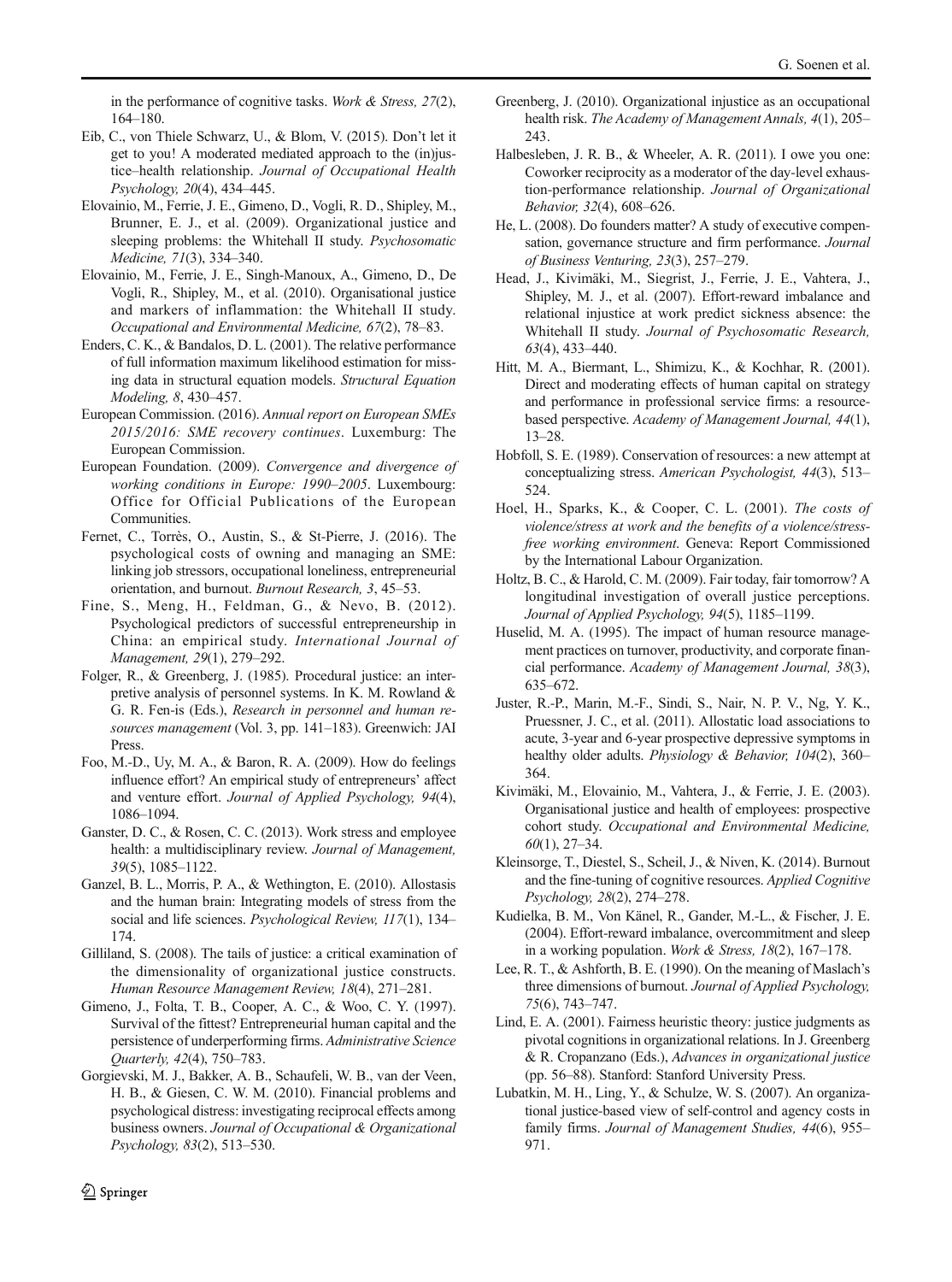<span id="page-11-0"></span>in the performance of cognitive tasks. Work  $&$  Stress, 27(2), 164–180.

- Eib, C., von Thiele Schwarz, U., & Blom, V. (2015). Don't let it get to you! A moderated mediated approach to the (in)justice–health relationship. Journal of Occupational Health Psychology, 20(4), 434–445.
- Elovainio, M., Ferrie, J. E., Gimeno, D., Vogli, R. D., Shipley, M., Brunner, E. J., et al. (2009). Organizational justice and sleeping problems: the Whitehall II study. Psychosomatic Medicine, 71(3), 334–340.
- Elovainio, M., Ferrie, J. E., Singh-Manoux, A., Gimeno, D., De Vogli, R., Shipley, M., et al. (2010). Organisational justice and markers of inflammation: the Whitehall II study. Occupational and Environmental Medicine, 67(2), 78–83.
- Enders, C. K., & Bandalos, D. L. (2001). The relative performance of full information maximum likelihood estimation for missing data in structural equation models. Structural Equation Modeling, 8, 430–457.
- European Commission. (2016). Annual report on European SMEs 2015/2016: SME recovery continues. Luxemburg: The European Commission.
- European Foundation. (2009). Convergence and divergence of working conditions in Europe: 1990–2005. Luxembourg: Office for Official Publications of the European Communities.
- Fernet, C., Torrès, O., Austin, S., & St-Pierre, J. (2016). The psychological costs of owning and managing an SME: linking job stressors, occupational loneliness, entrepreneurial orientation, and burnout. Burnout Research, 3, 45–53.
- Fine, S., Meng, H., Feldman, G., & Nevo, B. (2012). Psychological predictors of successful entrepreneurship in China: an empirical study. International Journal of Management, 29(1), 279–292.
- Folger, R., & Greenberg, J. (1985). Procedural justice: an interpretive analysis of personnel systems. In K. M. Rowland & G. R. Fen-is (Eds.), Research in personnel and human resources management (Vol. 3, pp. 141–183). Greenwich: JAI Press.
- Foo, M.-D., Uy, M. A., & Baron, R. A. (2009). How do feelings influence effort? An empirical study of entrepreneurs' affect and venture effort. Journal of Applied Psychology, 94(4), 1086–1094.
- Ganster, D. C., & Rosen, C. C. (2013). Work stress and employee health: a multidisciplinary review. Journal of Management, 39(5), 1085–1122.
- Ganzel, B. L., Morris, P. A., & Wethington, E. (2010). Allostasis and the human brain: Integrating models of stress from the social and life sciences. Psychological Review, 117(1), 134– 174.
- Gilliland, S. (2008). The tails of justice: a critical examination of the dimensionality of organizational justice constructs. Human Resource Management Review, 18(4), 271–281.
- Gimeno, J., Folta, T. B., Cooper, A. C., & Woo, C. Y. (1997). Survival of the fittest? Entrepreneurial human capital and the persistence of underperforming firms. Administrative Science Quarterly, 42(4), 750–783.
- Gorgievski, M. J., Bakker, A. B., Schaufeli, W. B., van der Veen, H. B., & Giesen, C. W. M. (2010). Financial problems and psychological distress: investigating reciprocal effects among business owners. Journal of Occupational & Organizational Psychology, 83(2), 513–530.
- Greenberg, J. (2010). Organizational injustice as an occupational health risk. The Academy of Management Annals, 4(1), 205– 243.
- Halbesleben, J. R. B., & Wheeler, A. R. (2011). I owe you one: Coworker reciprocity as a moderator of the day-level exhaustion-performance relationship. Journal of Organizational Behavior, 32(4), 608–626.
- He, L. (2008). Do founders matter? A study of executive compensation, governance structure and firm performance. Journal of Business Venturing, 23(3), 257–279.
- Head, J., Kivimäki, M., Siegrist, J., Ferrie, J. E., Vahtera, J., Shipley, M. J., et al. (2007). Effort-reward imbalance and relational injustice at work predict sickness absence: the Whitehall II study. Journal of Psychosomatic Research, 63(4), 433–440.
- Hitt, M. A., Biermant, L., Shimizu, K., & Kochhar, R. (2001). Direct and moderating effects of human capital on strategy and performance in professional service firms: a resourcebased perspective. Academy of Management Journal, 44(1), 13–28.
- Hobfoll, S. E. (1989). Conservation of resources: a new attempt at conceptualizing stress. American Psychologist, 44(3), 513– 524.
- Hoel, H., Sparks, K., & Cooper, C. L. (2001). The costs of violence/stress at work and the benefits of a violence/stressfree working environment. Geneva: Report Commissioned by the International Labour Organization.
- Holtz, B. C., & Harold, C. M. (2009). Fair today, fair tomorrow? A longitudinal investigation of overall justice perceptions. Journal of Applied Psychology, 94(5), 1185–1199.
- Huselid, M. A. (1995). The impact of human resource management practices on turnover, productivity, and corporate financial performance. Academy of Management Journal, 38(3), 635–672.
- Juster, R.-P., Marin, M.-F., Sindi, S., Nair, N. P. V., Ng, Y. K., Pruessner, J. C., et al. (2011). Allostatic load associations to acute, 3-year and 6-year prospective depressive symptoms in healthy older adults. *Physiology & Behavior*, 104(2), 360– 364.
- Kivimäki, M., Elovainio, M., Vahtera, J., & Ferrie, J. E. (2003). Organisational justice and health of employees: prospective cohort study. Occupational and Environmental Medicine,  $60(1)$ , 27–34.
- Kleinsorge, T., Diestel, S., Scheil, J., & Niven, K. (2014). Burnout and the fine-tuning of cognitive resources. Applied Cognitive Psychology, 28(2), 274–278.
- Kudielka, B. M., Von Känel, R., Gander, M.-L., & Fischer, J. E. (2004). Effort-reward imbalance, overcommitment and sleep in a working population. Work & Stress, 18(2), 167-178.
- Lee, R. T., & Ashforth, B. E. (1990). On the meaning of Maslach's three dimensions of burnout. Journal of Applied Psychology, 75(6), 743–747.
- Lind, E. A. (2001). Fairness heuristic theory: justice judgments as pivotal cognitions in organizational relations. In J. Greenberg & R. Cropanzano (Eds.), Advances in organizational justice (pp. 56–88). Stanford: Stanford University Press.
- Lubatkin, M. H., Ling, Y., & Schulze, W. S. (2007). An organizational justice-based view of self-control and agency costs in family firms. Journal of Management Studies, 44(6), 955-971.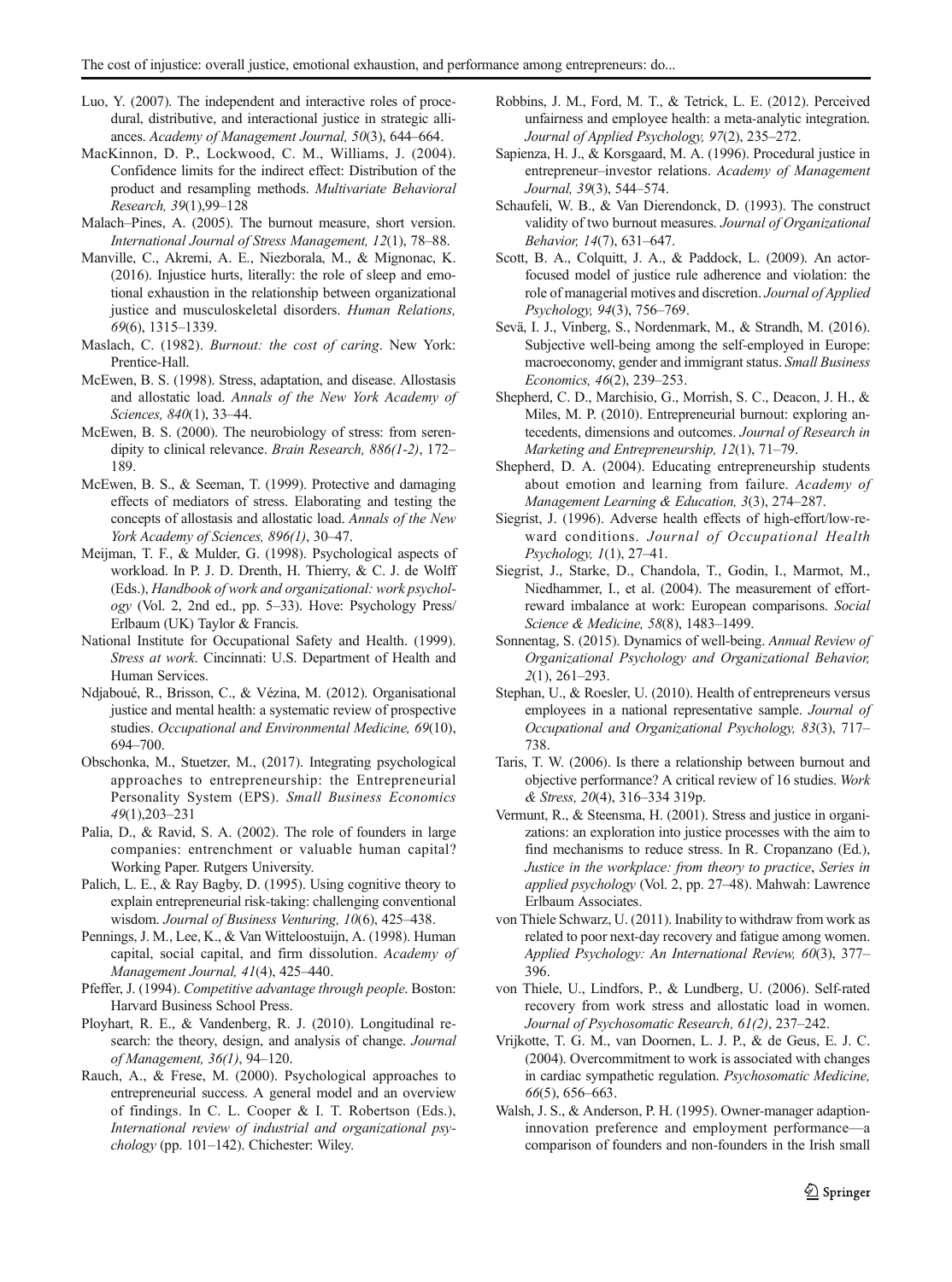- <span id="page-12-0"></span>Luo, Y. (2007). The independent and interactive roles of procedural, distributive, and interactional justice in strategic alliances. Academy of Management Journal, 50(3), 644–664.
- MacKinnon, D. P., Lockwood, C. M., Williams, J. (2004). Confidence limits for the indirect effect: Distribution of the product and resampling methods. Multivariate Behavioral Research, 39(1),99–128
- Malach–Pines, A. (2005). The burnout measure, short version. International Journal of Stress Management, 12(1), 78–88.
- Manville, C., Akremi, A. E., Niezborala, M., & Mignonac, K. (2016). Injustice hurts, literally: the role of sleep and emotional exhaustion in the relationship between organizational justice and musculoskeletal disorders. Human Relations, 69(6), 1315–1339.
- Maslach, C. (1982). Burnout: the cost of caring. New York: Prentice-Hall.
- McEwen, B. S. (1998). Stress, adaptation, and disease. Allostasis and allostatic load. Annals of the New York Academy of Sciences, 840(1), 33–44.
- McEwen, B. S. (2000). The neurobiology of stress: from serendipity to clinical relevance. Brain Research, 886(1-2), 172– 189.
- McEwen, B. S., & Seeman, T. (1999). Protective and damaging effects of mediators of stress. Elaborating and testing the concepts of allostasis and allostatic load. Annals of the New York Academy of Sciences, 896(1), 30–47.
- Meijman, T. F., & Mulder, G. (1998). Psychological aspects of workload. In P. J. D. Drenth, H. Thierry, & C. J. de Wolff (Eds.), Handbook of work and organizational: work psychology (Vol. 2, 2nd ed., pp. 5–33). Hove: Psychology Press/ Erlbaum (UK) Taylor & Francis.
- National Institute for Occupational Safety and Health. (1999). Stress at work. Cincinnati: U.S. Department of Health and Human Services.
- Ndjaboué, R., Brisson, C., & Vézina, M. (2012). Organisational justice and mental health: a systematic review of prospective studies. Occupational and Environmental Medicine, 69(10), 694–700.
- Obschonka, M., Stuetzer, M., (2017). Integrating psychological approaches to entrepreneurship: the Entrepreneurial Personality System (EPS). Small Business Economics 49(1),203–231
- Palia, D., & Ravid, S. A. (2002). The role of founders in large companies: entrenchment or valuable human capital? Working Paper. Rutgers University.
- Palich, L. E., & Ray Bagby, D. (1995). Using cognitive theory to explain entrepreneurial risk-taking: challenging conventional wisdom. Journal of Business Venturing, 10(6), 425–438.
- Pennings, J. M., Lee, K., & Van Witteloostuijn, A. (1998). Human capital, social capital, and firm dissolution. Academy of Management Journal, 41(4), 425–440.
- Pfeffer, J. (1994). Competitive advantage through people. Boston: Harvard Business School Press.
- Ployhart, R. E., & Vandenberg, R. J. (2010). Longitudinal research: the theory, design, and analysis of change. Journal of Management, 36(1), 94–120.
- Rauch, A., & Frese, M. (2000). Psychological approaches to entrepreneurial success. A general model and an overview of findings. In C. L. Cooper & I. T. Robertson (Eds.), International review of industrial and organizational psychology (pp. 101–142). Chichester: Wiley.
- Robbins, J. M., Ford, M. T., & Tetrick, L. E. (2012). Perceived unfairness and employee health: a meta-analytic integration. Journal of Applied Psychology, 97(2), 235–272.
- Sapienza, H. J., & Korsgaard, M. A. (1996). Procedural justice in entrepreneur–investor relations. Academy of Management Journal, 39(3), 544–574.
- Schaufeli, W. B., & Van Dierendonck, D. (1993). The construct validity of two burnout measures. Journal of Organizational Behavior, 14(7), 631–647.
- Scott, B. A., Colquitt, J. A., & Paddock, L. (2009). An actorfocused model of justice rule adherence and violation: the role of managerial motives and discretion. Journal of Applied Psychology, 94(3), 756–769.
- Sevä, I. J., Vinberg, S., Nordenmark, M., & Strandh, M. (2016). Subjective well-being among the self-employed in Europe: macroeconomy, gender and immigrant status. Small Business Economics, 46(2), 239–253.
- Shepherd, C. D., Marchisio, G., Morrish, S. C., Deacon, J. H., & Miles, M. P. (2010). Entrepreneurial burnout: exploring antecedents, dimensions and outcomes. Journal of Research in Marketing and Entrepreneurship, 12(1), 71–79.
- Shepherd, D. A. (2004). Educating entrepreneurship students about emotion and learning from failure. Academy of Management Learning & Education, 3(3), 274–287.
- Siegrist, J. (1996). Adverse health effects of high-effort/low-reward conditions. Journal of Occupational Health Psychology, 1(1), 27–41.
- Siegrist, J., Starke, D., Chandola, T., Godin, I., Marmot, M., Niedhammer, I., et al. (2004). The measurement of effortreward imbalance at work: European comparisons. Social Science & Medicine, 58(8), 1483–1499.
- Sonnentag, S. (2015). Dynamics of well-being. Annual Review of Organizational Psychology and Organizational Behavior, 2(1), 261–293.
- Stephan, U., & Roesler, U. (2010). Health of entrepreneurs versus employees in a national representative sample. Journal of Occupational and Organizational Psychology, 83(3), 717– 738.
- Taris, T. W. (2006). Is there a relationship between burnout and objective performance? A critical review of 16 studies. Work & Stress, 20(4), 316–334 319p.
- Vermunt, R., & Steensma, H. (2001). Stress and justice in organizations: an exploration into justice processes with the aim to find mechanisms to reduce stress. In R. Cropanzano (Ed.), Justice in the workplace: from theory to practice, Series in applied psychology (Vol. 2, pp. 27–48). Mahwah: Lawrence Erlbaum Associates.
- von Thiele Schwarz, U. (2011). Inability to withdraw from work as related to poor next-day recovery and fatigue among women. Applied Psychology: An International Review, 60(3), 377– 396.
- von Thiele, U., Lindfors, P., & Lundberg, U. (2006). Self-rated recovery from work stress and allostatic load in women. Journal of Psychosomatic Research, 61(2), 237–242.
- Vrijkotte, T. G. M., van Doornen, L. J. P., & de Geus, E. J. C. (2004). Overcommitment to work is associated with changes in cardiac sympathetic regulation. Psychosomatic Medicine, 66(5), 656–663.
- Walsh, J. S., & Anderson, P. H. (1995). Owner-manager adaptioninnovation preference and employment performance—a comparison of founders and non-founders in the Irish small